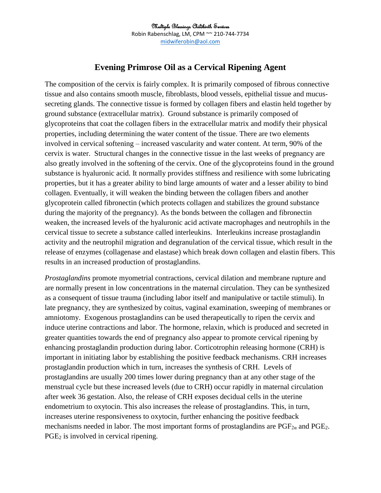## Multiple Blessings Childbirth Services Robin Rabenschlag, LM, CPM ~~ 210-744-7734 [midwiferobin@aol.com](mailto:midwiferobin@aol.com)

## **Evening Primrose Oil as a Cervical Ripening Agent**

The composition of the cervix is fairly complex. It is primarily composed of fibrous connective tissue and also contains smooth muscle, fibroblasts, blood vessels, epithelial tissue and mucussecreting glands. The connective tissue is formed by collagen fibers and elastin held together by ground substance (extracellular matrix). Ground substance is primarily composed of glycoproteins that coat the collagen fibers in the extracellular matrix and modify their physical properties, including determining the water content of the tissue. There are two elements involved in cervical softening – increased vascularity and water content. At term, 90% of the cervix is water. Structural changes in the connective tissue in the last weeks of pregnancy are also greatly involved in the softening of the cervix. One of the glycoproteins found in the ground substance is hyaluronic acid. It normally provides stiffness and resilience with some lubricating properties, but it has a greater ability to bind large amounts of water and a lesser ability to bind collagen. Eventually, it will weaken the binding between the collagen fibers and another glycoprotein called fibronectin (which protects collagen and stabilizes the ground substance during the majority of the pregnancy). As the bonds between the collagen and fibronectin weaken, the increased levels of the hyaluronic acid activate macrophages and neutrophils in the cervical tissue to secrete a substance called interleukins. Interleukins increase prostaglandin activity and the neutrophil migration and degranulation of the cervical tissue, which result in the release of enzymes (collagenase and elastase) which break down collagen and elastin fibers. This results in an increased production of prostaglandins.

*Prostaglandins* promote myometrial contractions, cervical dilation and membrane rupture and are normally present in low concentrations in the maternal circulation. They can be synthesized as a consequent of tissue trauma (including labor itself and manipulative or tactile stimuli). In late pregnancy, they are synthesized by coitus, vaginal examination, sweeping of membranes or amniotomy. Exogenous prostaglandins can be used therapeutically to ripen the cervix and induce uterine contractions and labor. The hormone, relaxin, which is produced and secreted in greater quantities towards the end of pregnancy also appear to promote cervical ripening by enhancing prostaglandin production during labor. Corticotrophin releasing hormone (CRH) is important in initiating labor by establishing the positive feedback mechanisms. CRH increases prostaglandin production which in turn, increases the synthesis of CRH. Levels of prostaglandins are usually 200 times lower during pregnancy than at any other stage of the menstrual cycle but these increased levels (due to CRH) occur rapidly in maternal circulation after week 36 gestation. Also, the release of CRH exposes decidual cells in the uterine endometrium to oxytocin. This also increases the release of prostaglandins. This, in turn, increases uterine responsiveness to oxytocin, further enhancing the positive feedback mechanisms needed in labor. The most important forms of prostaglandins are  $PGF_{2\alpha}$  and  $PGE_2$ . PGE<sub>2</sub> is involved in cervical ripening.